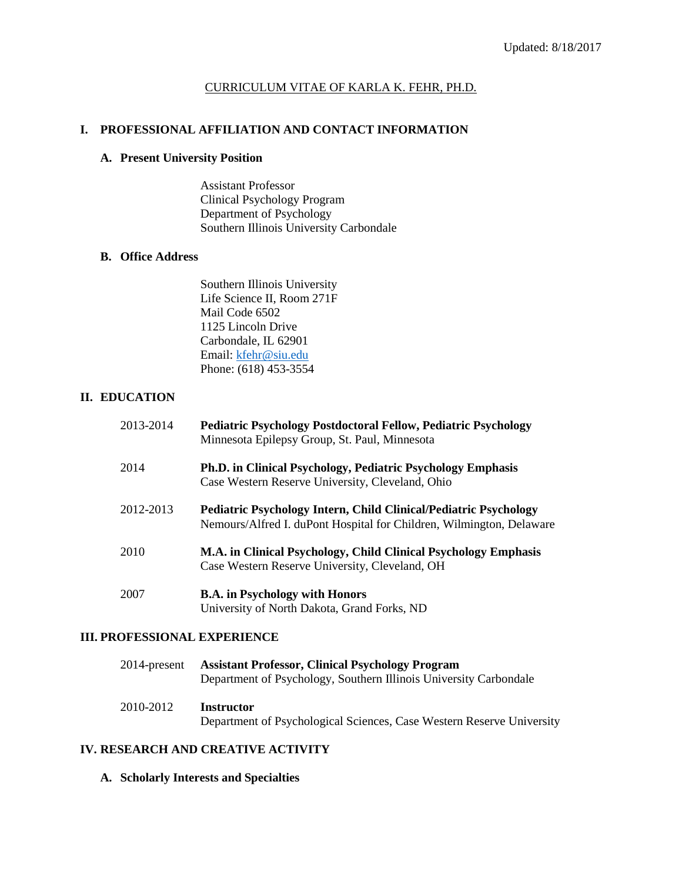# CURRICULUM VITAE OF KARLA K. FEHR, PH.D.

# **I. PROFESSIONAL AFFILIATION AND CONTACT INFORMATION**

### **A. Present University Position**

Assistant Professor Clinical Psychology Program Department of Psychology Southern Illinois University Carbondale

# **B. Office Address**

Southern Illinois University Life Science II, Room 271F Mail Code 6502 1125 Lincoln Drive Carbondale, IL 62901 Email: [kfehr@siu.edu](mailto:kfehr@siu.edu) Phone: (618) 453-3554

# **II. EDUCATION**

| 2013-2014 | <b>Pediatric Psychology Postdoctoral Fellow, Pediatric Psychology</b><br>Minnesota Epilepsy Group, St. Paul, Minnesota                          |
|-----------|-------------------------------------------------------------------------------------------------------------------------------------------------|
| 2014      | <b>Ph.D. in Clinical Psychology, Pediatric Psychology Emphasis</b><br>Case Western Reserve University, Cleveland, Ohio                          |
| 2012-2013 | <b>Pediatric Psychology Intern, Child Clinical/Pediatric Psychology</b><br>Nemours/Alfred I. duPont Hospital for Children, Wilmington, Delaware |
| 2010      | M.A. in Clinical Psychology, Child Clinical Psychology Emphasis<br>Case Western Reserve University, Cleveland, OH                               |
| 2007      | <b>B.A.</b> in Psychology with Honors                                                                                                           |

# **III. PROFESSIONAL EXPERIENCE**

| 2014-present | <b>Assistant Professor, Clinical Psychology Program</b><br>Department of Psychology, Southern Illinois University Carbondale |  |
|--------------|------------------------------------------------------------------------------------------------------------------------------|--|
| 2010-2012    | <b>Instructor</b>                                                                                                            |  |

University of North Dakota, Grand Forks, ND

Department of Psychological Sciences, Case Western Reserve University

# **IV. RESEARCH AND CREATIVE ACTIVITY**

**A. Scholarly Interests and Specialties**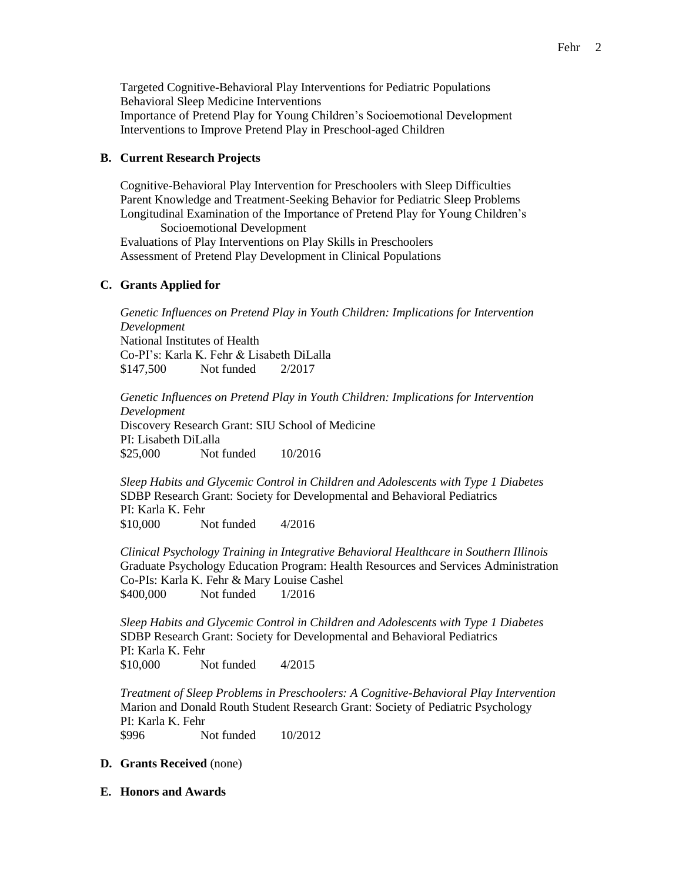Targeted Cognitive-Behavioral Play Interventions for Pediatric Populations Behavioral Sleep Medicine Interventions Importance of Pretend Play for Young Children's Socioemotional Development Interventions to Improve Pretend Play in Preschool-aged Children

# **B. Current Research Projects**

Cognitive-Behavioral Play Intervention for Preschoolers with Sleep Difficulties Parent Knowledge and Treatment-Seeking Behavior for Pediatric Sleep Problems Longitudinal Examination of the Importance of Pretend Play for Young Children's Socioemotional Development Evaluations of Play Interventions on Play Skills in Preschoolers Assessment of Pretend Play Development in Clinical Populations

# **C. Grants Applied for**

*Genetic Influences on Pretend Play in Youth Children: Implications for Intervention Development* National Institutes of Health Co-PI's: Karla K. Fehr & Lisabeth DiLalla \$147,500 Not funded 2/2017

*Genetic Influences on Pretend Play in Youth Children: Implications for Intervention Development* Discovery Research Grant: SIU School of Medicine PI: Lisabeth DiLalla \$25,000 Not funded 10/2016

*Sleep Habits and Glycemic Control in Children and Adolescents with Type 1 Diabetes* SDBP Research Grant: Society for Developmental and Behavioral Pediatrics PI: Karla K. Fehr \$10,000 Not funded 4/2016

*Clinical Psychology Training in Integrative Behavioral Healthcare in Southern Illinois*  Graduate Psychology Education Program: Health Resources and Services Administration Co-PIs: Karla K. Fehr & Mary Louise Cashel \$400,000 Not funded 1/2016

*Sleep Habits and Glycemic Control in Children and Adolescents with Type 1 Diabetes* SDBP Research Grant: Society for Developmental and Behavioral Pediatrics PI: Karla K. Fehr \$10,000 Not funded 4/2015

*Treatment of Sleep Problems in Preschoolers: A Cognitive-Behavioral Play Intervention*  Marion and Donald Routh Student Research Grant: Society of Pediatric Psychology PI: Karla K. Fehr \$996 Not funded 10/2012

# **D. Grants Received** (none)

**E. Honors and Awards**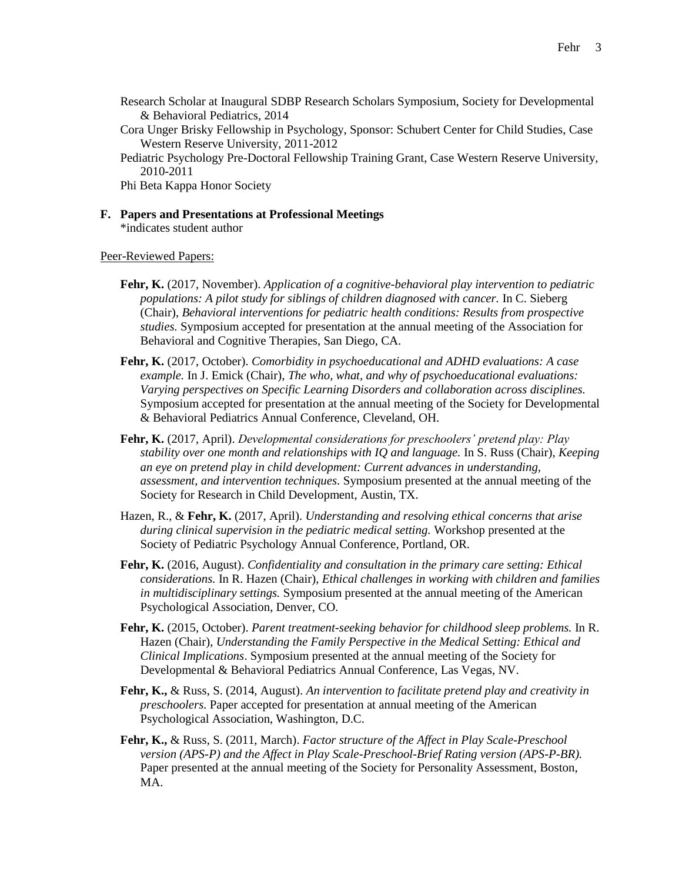- Research Scholar at Inaugural SDBP Research Scholars Symposium, Society for Developmental & Behavioral Pediatrics, 2014
- Cora Unger Brisky Fellowship in Psychology, Sponsor: Schubert Center for Child Studies, Case Western Reserve University, 2011-2012

Pediatric Psychology Pre-Doctoral Fellowship Training Grant, Case Western Reserve University, 2010-2011

Phi Beta Kappa Honor Society

**F. Papers and Presentations at Professional Meetings** \*indicates student author

Peer-Reviewed Papers:

- **Fehr, K.** (2017, November). *Application of a cognitive-behavioral play intervention to pediatric populations: A pilot study for siblings of children diagnosed with cancer.* In C. Sieberg (Chair), *Behavioral interventions for pediatric health conditions: Results from prospective studies.* Symposium accepted for presentation at the annual meeting of the Association for Behavioral and Cognitive Therapies, San Diego, CA.
- **Fehr, K.** (2017, October). *Comorbidity in psychoeducational and ADHD evaluations: A case example.* In J. Emick (Chair), *The who, what, and why of psychoeducational evaluations: Varying perspectives on Specific Learning Disorders and collaboration across disciplines.*  Symposium accepted for presentation at the annual meeting of the Society for Developmental & Behavioral Pediatrics Annual Conference, Cleveland, OH.
- **Fehr, K.** (2017, April). *Developmental considerations for preschoolers' pretend play: Play stability over one month and relationships with IQ and language.* In S. Russ (Chair), *Keeping an eye on pretend play in child development: Current advances in understanding, assessment, and intervention techniques.* Symposium presented at the annual meeting of the Society for Research in Child Development, Austin, TX.
- Hazen, R., & **Fehr, K.** (2017, April). *Understanding and resolving ethical concerns that arise during clinical supervision in the pediatric medical setting.* Workshop presented at the Society of Pediatric Psychology Annual Conference, Portland, OR.
- **Fehr, K.** (2016, August). *Confidentiality and consultation in the primary care setting: Ethical considerations.* In R. Hazen (Chair), *Ethical challenges in working with children and families in multidisciplinary settings.* Symposium presented at the annual meeting of the American Psychological Association, Denver, CO.
- **Fehr, K.** (2015, October). *Parent treatment-seeking behavior for childhood sleep problems.* In R. Hazen (Chair), *Understanding the Family Perspective in the Medical Setting: Ethical and Clinical Implications*. Symposium presented at the annual meeting of the Society for Developmental & Behavioral Pediatrics Annual Conference, Las Vegas, NV.
- **Fehr, K.,** & Russ, S. (2014, August). *An intervention to facilitate pretend play and creativity in preschoolers.* Paper accepted for presentation at annual meeting of the American Psychological Association, Washington, D.C.
- **Fehr, K.,** & Russ, S. (2011, March). *Factor structure of the Affect in Play Scale-Preschool version (APS-P) and the Affect in Play Scale-Preschool-Brief Rating version (APS-P-BR).*  Paper presented at the annual meeting of the Society for Personality Assessment, Boston, MA.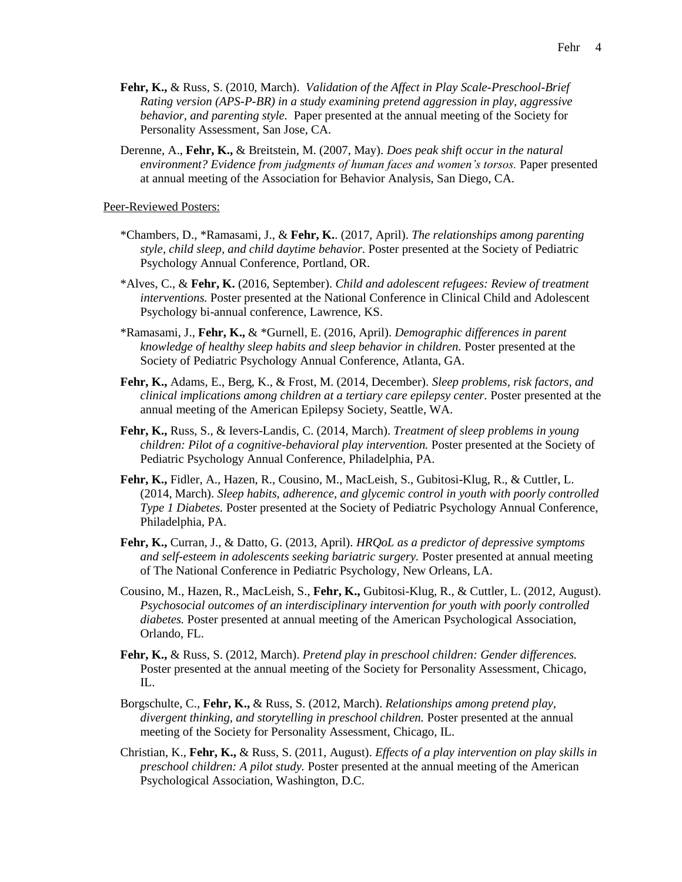- **Fehr, K.,** & Russ, S. (2010, March). *Validation of the Affect in Play Scale-Preschool-Brief Rating version (APS-P-BR) in a study examining pretend aggression in play, aggressive behavior, and parenting style.* Paper presented at the annual meeting of the Society for Personality Assessment, San Jose, CA.
- Derenne, A., **Fehr, K.,** & Breitstein, M. (2007, May). *Does peak shift occur in the natural environment? Evidence from judgments of human faces and women's torsos.* Paper presented at annual meeting of the Association for Behavior Analysis, San Diego, CA.

Peer-Reviewed Posters:

- \*Chambers, D., \*Ramasami, J., & **Fehr, K.**. (2017, April). *The relationships among parenting style, child sleep, and child daytime behavior.* Poster presented at the Society of Pediatric Psychology Annual Conference, Portland, OR.
- \*Alves, C., & **Fehr, K.** (2016, September). *Child and adolescent refugees: Review of treatment interventions.* Poster presented at the National Conference in Clinical Child and Adolescent Psychology bi-annual conference, Lawrence, KS.
- \*Ramasami, J., **Fehr, K.,** & \*Gurnell, E. (2016, April). *Demographic differences in parent knowledge of healthy sleep habits and sleep behavior in children.* Poster presented at the Society of Pediatric Psychology Annual Conference, Atlanta, GA.
- **Fehr, K.,** Adams, E., Berg, K., & Frost, M. (2014, December). *Sleep problems, risk factors, and clinical implications among children at a tertiary care epilepsy center.* Poster presented at the annual meeting of the American Epilepsy Society, Seattle, WA.
- **Fehr, K.,** Russ, S., & Ievers-Landis, C. (2014, March). *Treatment of sleep problems in young children: Pilot of a cognitive-behavioral play intervention.* Poster presented at the Society of Pediatric Psychology Annual Conference, Philadelphia, PA.
- **Fehr, K.,** Fidler, A., Hazen, R., Cousino, M., MacLeish, S., Gubitosi-Klug, R., & Cuttler, L. (2014, March). *Sleep habits, adherence, and glycemic control in youth with poorly controlled Type 1 Diabetes.* Poster presented at the Society of Pediatric Psychology Annual Conference, Philadelphia, PA.
- **Fehr, K.,** Curran, J., & Datto, G. (2013, April). *HRQoL as a predictor of depressive symptoms and self-esteem in adolescents seeking bariatric surgery.* Poster presented at annual meeting of The National Conference in Pediatric Psychology, New Orleans, LA.
- Cousino, M., Hazen, R., MacLeish, S., **Fehr, K.,** Gubitosi-Klug, R., & Cuttler, L. (2012, August). *Psychosocial outcomes of an interdisciplinary intervention for youth with poorly controlled diabetes.* Poster presented at annual meeting of the American Psychological Association, Orlando, FL.
- **Fehr, K.,** & Russ, S. (2012, March). *Pretend play in preschool children: Gender differences.*  Poster presented at the annual meeting of the Society for Personality Assessment, Chicago, IL.
- Borgschulte, C., **Fehr, K.,** & Russ, S. (2012, March). *Relationships among pretend play, divergent thinking, and storytelling in preschool children.* Poster presented at the annual meeting of the Society for Personality Assessment, Chicago, IL.
- Christian, K., **Fehr, K.,** & Russ, S. (2011, August). *Effects of a play intervention on play skills in preschool children: A pilot study.* Poster presented at the annual meeting of the American Psychological Association, Washington, D.C.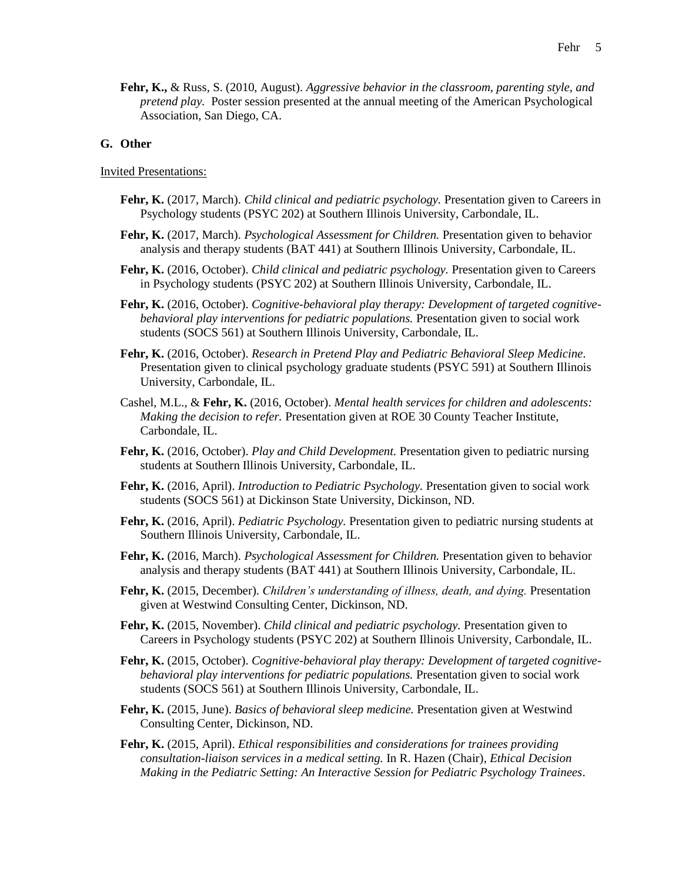**Fehr, K.,** & Russ, S. (2010, August). *Aggressive behavior in the classroom, parenting style, and pretend play.* Poster session presented at the annual meeting of the American Psychological Association, San Diego, CA.

### **G. Other**

#### Invited Presentations:

- **Fehr, K.** (2017, March). *Child clinical and pediatric psychology.* Presentation given to Careers in Psychology students (PSYC 202) at Southern Illinois University, Carbondale, IL.
- **Fehr, K.** (2017, March). *Psychological Assessment for Children.* Presentation given to behavior analysis and therapy students (BAT 441) at Southern Illinois University, Carbondale, IL.
- **Fehr, K.** (2016, October). *Child clinical and pediatric psychology.* Presentation given to Careers in Psychology students (PSYC 202) at Southern Illinois University, Carbondale, IL.
- **Fehr, K.** (2016, October). *Cognitive-behavioral play therapy: Development of targeted cognitivebehavioral play interventions for pediatric populations.* Presentation given to social work students (SOCS 561) at Southern Illinois University, Carbondale, IL.
- **Fehr, K.** (2016, October). *Research in Pretend Play and Pediatric Behavioral Sleep Medicine.*  Presentation given to clinical psychology graduate students (PSYC 591) at Southern Illinois University, Carbondale, IL.
- Cashel, M.L., & **Fehr, K.** (2016, October). *Mental health services for children and adolescents: Making the decision to refer.* Presentation given at ROE 30 County Teacher Institute, Carbondale, IL.
- **Fehr, K.** (2016, October). *Play and Child Development.* Presentation given to pediatric nursing students at Southern Illinois University, Carbondale, IL.
- **Fehr, K.** (2016, April). *Introduction to Pediatric Psychology.* Presentation given to social work students (SOCS 561) at Dickinson State University, Dickinson, ND.
- **Fehr, K.** (2016, April). *Pediatric Psychology.* Presentation given to pediatric nursing students at Southern Illinois University, Carbondale, IL.
- **Fehr, K.** (2016, March). *Psychological Assessment for Children.* Presentation given to behavior analysis and therapy students (BAT 441) at Southern Illinois University, Carbondale, IL.
- **Fehr, K.** (2015, December). *Children's understanding of illness, death, and dying.* Presentation given at Westwind Consulting Center, Dickinson, ND.
- **Fehr, K.** (2015, November). *Child clinical and pediatric psychology.* Presentation given to Careers in Psychology students (PSYC 202) at Southern Illinois University, Carbondale, IL.
- **Fehr, K.** (2015, October). *Cognitive-behavioral play therapy: Development of targeted cognitivebehavioral play interventions for pediatric populations.* Presentation given to social work students (SOCS 561) at Southern Illinois University, Carbondale, IL.
- **Fehr, K.** (2015, June). *Basics of behavioral sleep medicine.* Presentation given at Westwind Consulting Center, Dickinson, ND.
- **Fehr, K.** (2015, April). *Ethical responsibilities and considerations for trainees providing consultation-liaison services in a medical setting.* In R. Hazen (Chair), *Ethical Decision Making in the Pediatric Setting: An Interactive Session for Pediatric Psychology Trainees*.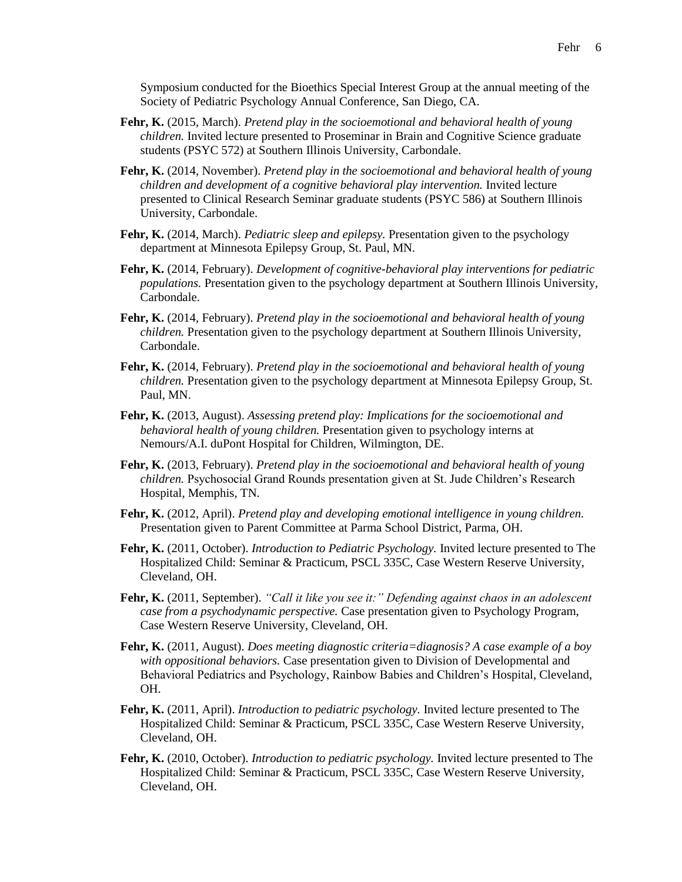Symposium conducted for the Bioethics Special Interest Group at the annual meeting of the Society of Pediatric Psychology Annual Conference, San Diego, CA.

- **Fehr, K.** (2015, March). *Pretend play in the socioemotional and behavioral health of young children.* Invited lecture presented to Proseminar in Brain and Cognitive Science graduate students (PSYC 572) at Southern Illinois University, Carbondale.
- **Fehr, K.** (2014, November). *Pretend play in the socioemotional and behavioral health of young children and development of a cognitive behavioral play intervention.* Invited lecture presented to Clinical Research Seminar graduate students (PSYC 586) at Southern Illinois University, Carbondale.
- **Fehr, K.** (2014, March). *Pediatric sleep and epilepsy.* Presentation given to the psychology department at Minnesota Epilepsy Group, St. Paul, MN.
- **Fehr, K.** (2014, February). *Development of cognitive-behavioral play interventions for pediatric populations.* Presentation given to the psychology department at Southern Illinois University, Carbondale.
- **Fehr, K.** (2014, February). *Pretend play in the socioemotional and behavioral health of young children.* Presentation given to the psychology department at Southern Illinois University, Carbondale.
- **Fehr, K.** (2014, February). *Pretend play in the socioemotional and behavioral health of young children.* Presentation given to the psychology department at Minnesota Epilepsy Group, St. Paul, MN.
- **Fehr, K.** (2013, August). *Assessing pretend play: Implications for the socioemotional and behavioral health of young children.* Presentation given to psychology interns at Nemours/A.I. duPont Hospital for Children, Wilmington, DE.
- **Fehr, K.** (2013, February). *Pretend play in the socioemotional and behavioral health of young children.* Psychosocial Grand Rounds presentation given at St. Jude Children's Research Hospital, Memphis, TN.
- **Fehr, K.** (2012, April). *Pretend play and developing emotional intelligence in young children.*  Presentation given to Parent Committee at Parma School District, Parma, OH.
- **Fehr, K.** (2011, October). *Introduction to Pediatric Psychology.* Invited lecture presented to The Hospitalized Child: Seminar & Practicum, PSCL 335C, Case Western Reserve University, Cleveland, OH.
- **Fehr, K.** (2011, September). *"Call it like you see it:" Defending against chaos in an adolescent case from a psychodynamic perspective.* Case presentation given to Psychology Program, Case Western Reserve University, Cleveland, OH.
- **Fehr, K.** (2011, August). *Does meeting diagnostic criteria=diagnosis? A case example of a boy with oppositional behaviors.* Case presentation given to Division of Developmental and Behavioral Pediatrics and Psychology, Rainbow Babies and Children's Hospital, Cleveland, OH.
- **Fehr, K.** (2011, April). *Introduction to pediatric psychology.* Invited lecture presented to The Hospitalized Child: Seminar & Practicum, PSCL 335C, Case Western Reserve University, Cleveland, OH.
- **Fehr, K.** (2010, October). *Introduction to pediatric psychology.* Invited lecture presented to The Hospitalized Child: Seminar & Practicum, PSCL 335C, Case Western Reserve University, Cleveland, OH.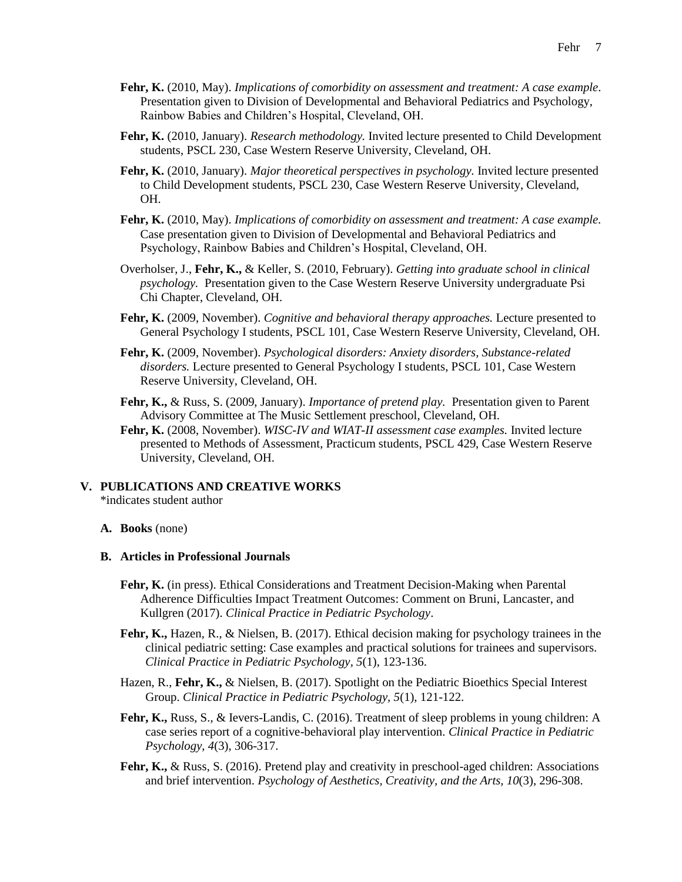- **Fehr, K.** (2010, May). *Implications of comorbidity on assessment and treatment: A case example.*  Presentation given to Division of Developmental and Behavioral Pediatrics and Psychology, Rainbow Babies and Children's Hospital, Cleveland, OH.
- **Fehr, K.** (2010, January). *Research methodology.* Invited lecture presented to Child Development students, PSCL 230, Case Western Reserve University, Cleveland, OH.
- **Fehr, K.** (2010, January). *Major theoretical perspectives in psychology.* Invited lecture presented to Child Development students, PSCL 230, Case Western Reserve University, Cleveland, OH.
- **Fehr, K.** (2010, May). *Implications of comorbidity on assessment and treatment: A case example.*  Case presentation given to Division of Developmental and Behavioral Pediatrics and Psychology, Rainbow Babies and Children's Hospital, Cleveland, OH.
- Overholser, J., **Fehr, K.,** & Keller, S. (2010, February). *Getting into graduate school in clinical psychology.* Presentation given to the Case Western Reserve University undergraduate Psi Chi Chapter, Cleveland, OH.
- **Fehr, K.** (2009, November). *Cognitive and behavioral therapy approaches.* Lecture presented to General Psychology I students, PSCL 101, Case Western Reserve University, Cleveland, OH.
- **Fehr, K.** (2009, November). *Psychological disorders: Anxiety disorders, Substance-related disorders.* Lecture presented to General Psychology I students, PSCL 101, Case Western Reserve University, Cleveland, OH.
- **Fehr, K.,** & Russ, S. (2009, January). *Importance of pretend play.* Presentation given to Parent Advisory Committee at The Music Settlement preschool, Cleveland, OH.
- **Fehr, K.** (2008, November). *WISC-IV and WIAT-II assessment case examples.* Invited lecture presented to Methods of Assessment, Practicum students, PSCL 429, Case Western Reserve University, Cleveland, OH.

#### **V. PUBLICATIONS AND CREATIVE WORKS** \*indicates student author

# **A. Books** (none)

#### **B. Articles in Professional Journals**

- **Fehr, K.** (in press). Ethical Considerations and Treatment Decision-Making when Parental Adherence Difficulties Impact Treatment Outcomes: Comment on Bruni, Lancaster, and Kullgren (2017). *Clinical Practice in Pediatric Psychology*.
- **Fehr, K.,** Hazen, R., & Nielsen, B. (2017). Ethical decision making for psychology trainees in the clinical pediatric setting: Case examples and practical solutions for trainees and supervisors. *Clinical Practice in Pediatric Psychology, 5*(1), 123-136.
- Hazen, R., **Fehr, K.,** & Nielsen, B. (2017). Spotlight on the Pediatric Bioethics Special Interest Group. *Clinical Practice in Pediatric Psychology, 5*(1), 121-122.
- **Fehr, K.,** Russ, S., & Ievers-Landis, C. (2016). Treatment of sleep problems in young children: A case series report of a cognitive-behavioral play intervention. *Clinical Practice in Pediatric Psychology, 4*(3), 306-317.
- **Fehr, K., & Russ, S. (2016).** Pretend play and creativity in preschool-aged children: Associations and brief intervention. *Psychology of Aesthetics, Creativity, and the Arts, 10*(3), 296-308.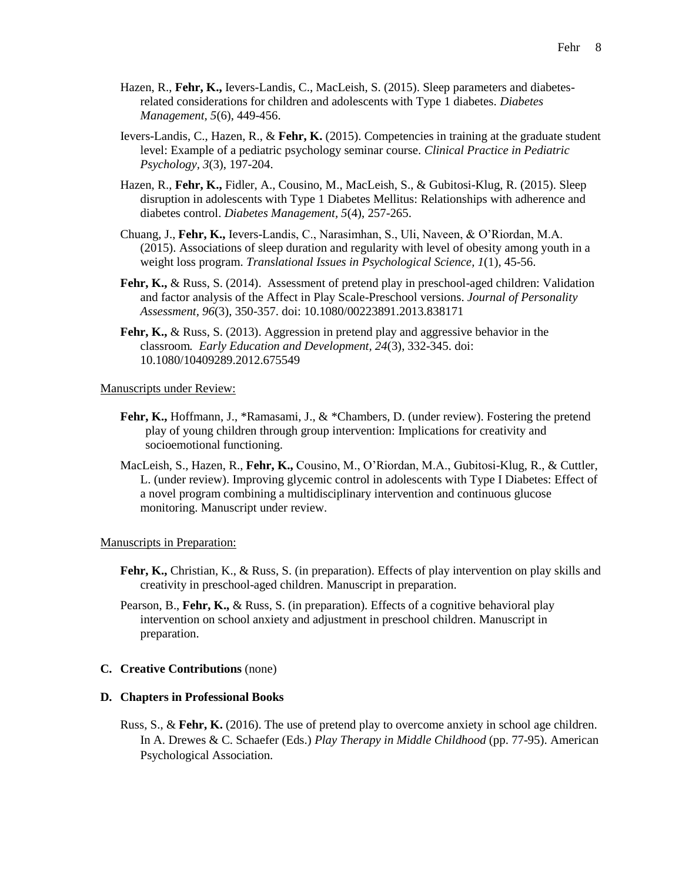- Hazen, R., **Fehr, K.,** Ievers-Landis, C., MacLeish, S. (2015). Sleep parameters and diabetesrelated considerations for children and adolescents with Type 1 diabetes. *Diabetes Management, 5*(6), 449-456.
- Ievers-Landis, C., Hazen, R., & **Fehr, K.** (2015). Competencies in training at the graduate student level: Example of a pediatric psychology seminar course. *Clinical Practice in Pediatric Psychology, 3*(3), 197-204.
- Hazen, R., **Fehr, K.,** Fidler, A., Cousino, M., MacLeish, S., & Gubitosi-Klug, R. (2015). Sleep disruption in adolescents with Type 1 Diabetes Mellitus: Relationships with adherence and diabetes control. *Diabetes Management, 5*(4), 257-265.
- Chuang, J., **Fehr, K.,** Ievers-Landis, C., Narasimhan, S., Uli, Naveen, & O'Riordan, M.A. (2015). Associations of sleep duration and regularity with level of obesity among youth in a weight loss program. *Translational Issues in Psychological Science, 1*(1), 45-56.
- **Fehr, K.,** & Russ, S. (2014). Assessment of pretend play in preschool-aged children: Validation and factor analysis of the Affect in Play Scale-Preschool versions. *Journal of Personality Assessment, 96*(3), 350-357. doi: 10.1080/00223891.2013.838171
- **Fehr, K.,** & Russ, S. (2013). Aggression in pretend play and aggressive behavior in the classroom*. Early Education and Development, 24*(3), 332-345. doi: 10.1080/10409289.2012.675549

Manuscripts under Review:

- **Fehr, K.,** Hoffmann, J., \*Ramasami, J., & \*Chambers, D. (under review). Fostering the pretend play of young children through group intervention: Implications for creativity and socioemotional functioning.
- MacLeish, S., Hazen, R., **Fehr, K.,** Cousino, M., O'Riordan, M.A., Gubitosi-Klug, R., & Cuttler, L. (under review). Improving glycemic control in adolescents with Type I Diabetes: Effect of a novel program combining a multidisciplinary intervention and continuous glucose monitoring. Manuscript under review.

#### Manuscripts in Preparation:

- **Fehr, K.,** Christian, K., & Russ, S. (in preparation). Effects of play intervention on play skills and creativity in preschool-aged children. Manuscript in preparation.
- Pearson, B., **Fehr, K.,** & Russ, S. (in preparation). Effects of a cognitive behavioral play intervention on school anxiety and adjustment in preschool children. Manuscript in preparation.

# **C. Creative Contributions** (none)

#### **D. Chapters in Professional Books**

Russ, S., & **Fehr, K.** (2016). The use of pretend play to overcome anxiety in school age children. In A. Drewes & C. Schaefer (Eds.) *Play Therapy in Middle Childhood* (pp. 77-95). American Psychological Association.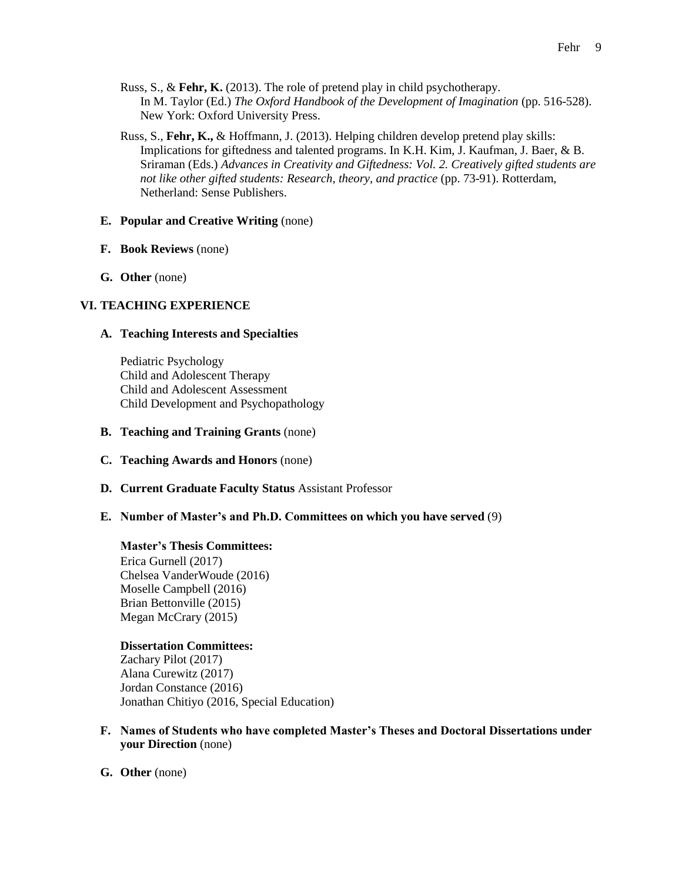- Russ, S., & **Fehr, K.** (2013). The role of pretend play in child psychotherapy. In M. Taylor (Ed.) *The Oxford Handbook of the Development of Imagination* (pp. 516-528). New York: Oxford University Press.
- Russ, S., **Fehr, K.,** & Hoffmann, J. (2013). Helping children develop pretend play skills: Implications for giftedness and talented programs. In K.H. Kim, J. Kaufman, J. Baer, & B. Sriraman (Eds.) *Advances in Creativity and Giftedness: Vol. 2. Creatively gifted students are not like other gifted students: Research, theory, and practice* (pp. 73-91). Rotterdam, Netherland: Sense Publishers.

# **E. Popular and Creative Writing** (none)

- **F. Book Reviews** (none)
- **G. Other** (none)

# **VI. TEACHING EXPERIENCE**

#### **A. Teaching Interests and Specialties**

Pediatric Psychology Child and Adolescent Therapy Child and Adolescent Assessment Child Development and Psychopathology

- **B. Teaching and Training Grants** (none)
- **C. Teaching Awards and Honors** (none)
- **D. Current Graduate Faculty Status** Assistant Professor
- **E. Number of Master's and Ph.D. Committees on which you have served** (9)

#### **Master's Thesis Committees:**

Erica Gurnell (2017) Chelsea VanderWoude (2016) Moselle Campbell (2016) Brian Bettonville (2015) Megan McCrary (2015)

#### **Dissertation Committees:**

Zachary Pilot (2017) Alana Curewitz (2017) Jordan Constance (2016) Jonathan Chitiyo (2016, Special Education)

- **F. Names of Students who have completed Master's Theses and Doctoral Dissertations under your Direction** (none)
- **G. Other** (none)